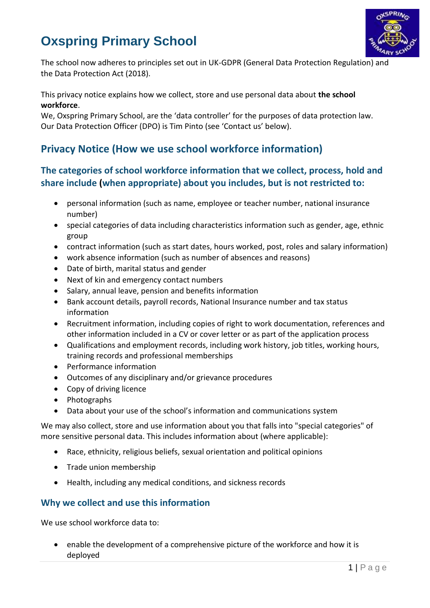# **Oxspring Primary School**



The school now adheres to principles set out in UK-GDPR (General Data Protection Regulation) and the Data Protection Act (2018).

This privacy notice explains how we collect, store and use personal data about **the school workforce**.

We, Oxspring Primary School, are the 'data controller' for the purposes of data protection law. Our Data Protection Officer (DPO) is Tim Pinto (see 'Contact us' below).

# **Privacy Notice (How we use school workforce information)**

# **The categories of school workforce information that we collect, process, hold and share include (when appropriate) about you includes, but is not restricted to:**

- personal information (such as name, employee or teacher number, national insurance number)
- special categories of data including characteristics information such as gender, age, ethnic group
- contract information (such as start dates, hours worked, post, roles and salary information)
- work absence information (such as number of absences and reasons)
- Date of birth, marital status and gender
- Next of kin and emergency contact numbers
- Salary, annual leave, pension and benefits information
- Bank account details, payroll records, National Insurance number and tax status information
- Recruitment information, including copies of right to work documentation, references and other information included in a CV or cover letter or as part of the application process
- Qualifications and employment records, including work history, job titles, working hours, training records and professional memberships
- Performance information
- Outcomes of any disciplinary and/or grievance procedures
- Copy of driving licence
- Photographs
- Data about your use of the school's information and communications system

We may also collect, store and use information about you that falls into "special categories" of more sensitive personal data. This includes information about (where applicable):

- Race, ethnicity, religious beliefs, sexual orientation and political opinions
- Trade union membership
- Health, including any medical conditions, and sickness records

#### **Why we collect and use this information**

We use school workforce data to:

 enable the development of a comprehensive picture of the workforce and how it is deployed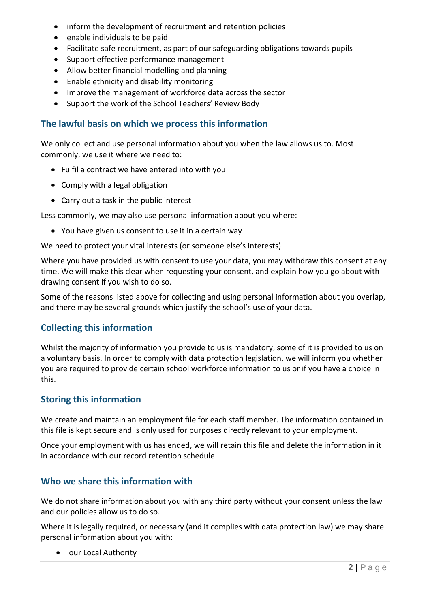- inform the development of recruitment and retention policies
- enable individuals to be paid
- Facilitate safe recruitment, as part of our safeguarding obligations towards pupils
- Support effective performance management
- Allow better financial modelling and planning
- Enable ethnicity and disability monitoring
- Improve the management of workforce data across the sector
- Support the work of the School Teachers' Review Body

## **The lawful basis on which we process this information**

We only collect and use personal information about you when the law allows us to. Most commonly, we use it where we need to:

- Fulfil a contract we have entered into with you
- Comply with a legal obligation
- Carry out a task in the public interest

Less commonly, we may also use personal information about you where:

You have given us consent to use it in a certain way

We need to protect your vital interests (or someone else's interests)

Where you have provided us with consent to use your data, you may withdraw this consent at any time. We will make this clear when requesting your consent, and explain how you go about withdrawing consent if you wish to do so.

Some of the reasons listed above for collecting and using personal information about you overlap, and there may be several grounds which justify the school's use of your data.

# **Collecting this information**

Whilst the majority of information you provide to us is mandatory, some of it is provided to us on a voluntary basis. In order to comply with data protection legislation, we will inform you whether you are required to provide certain school workforce information to us or if you have a choice in this.

## **Storing this information**

We create and maintain an employment file for each staff member. The information contained in this file is kept secure and is only used for purposes directly relevant to your employment.

Once your employment with us has ended, we will retain this file and delete the information in it in accordance with our record retention schedule

# **Who we share this information with**

We do not share information about you with any third party without your consent unless the law and our policies allow us to do so.

Where it is legally required, or necessary (and it complies with data protection law) we may share personal information about you with:

• our Local Authority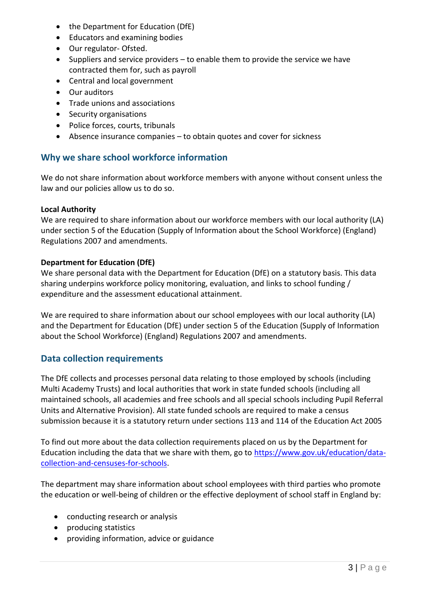- the Department for Education (DfE)
- Educators and examining bodies
- Our regulator- Ofsted.
- $\bullet$  Suppliers and service providers to enable them to provide the service we have contracted them for, such as payroll
- Central and local government
- Our auditors
- Trade unions and associations
- Security organisations
- Police forces, courts, tribunals
- Absence insurance companies to obtain quotes and cover for sickness

### **Why we share school workforce information**

We do not share information about workforce members with anyone without consent unless the law and our policies allow us to do so.

#### **Local Authority**

We are required to share information about our workforce members with our local authority (LA) under section 5 of the Education (Supply of Information about the School Workforce) (England) Regulations 2007 and amendments.

#### **Department for Education (DfE)**

We share personal data with the Department for Education (DfE) on a statutory basis. This data sharing underpins workforce policy monitoring, evaluation, and links to school funding / expenditure and the assessment educational attainment.

We are required to share information about our school employees with our local authority (LA) and the Department for Education (DfE) under section 5 of the Education (Supply of Information about the School Workforce) (England) Regulations 2007 and amendments.

#### **Data collection requirements**

The DfE collects and processes personal data relating to those employed by schools (including Multi Academy Trusts) and local authorities that work in state funded schools (including all maintained schools, all academies and free schools and all special schools including Pupil Referral Units and Alternative Provision). All state funded schools are required to make a census submission because it is a statutory return under sections 113 and 114 of the Education Act 2005

To find out more about the data collection requirements placed on us by the Department for Education including the data that we share with them, go to [https://www.gov.uk/education/data](https://www.gov.uk/education/data-collection-and-censuses-for-schools)[collection-and-censuses-for-schools.](https://www.gov.uk/education/data-collection-and-censuses-for-schools)

The department may share information about school employees with third parties who promote the education or well-being of children or the effective deployment of school staff in England by:

- conducting research or analysis
- producing statistics
- providing information, advice or guidance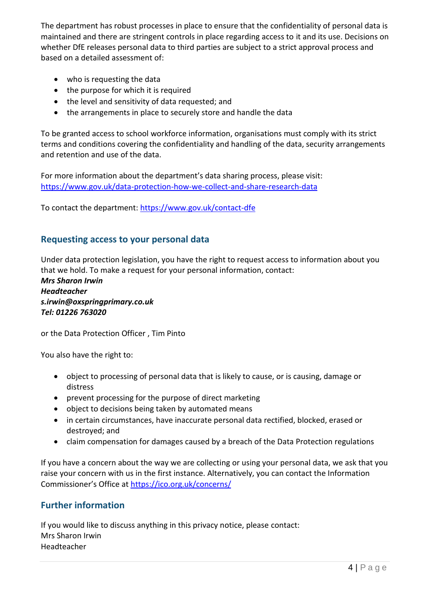The department has robust processes in place to ensure that the confidentiality of personal data is maintained and there are stringent controls in place regarding access to it and its use. Decisions on whether DfE releases personal data to third parties are subject to a strict approval process and based on a detailed assessment of:

- who is requesting the data
- the purpose for which it is required
- the level and sensitivity of data requested; and
- the arrangements in place to securely store and handle the data

To be granted access to school workforce information, organisations must comply with its strict terms and conditions covering the confidentiality and handling of the data, security arrangements and retention and use of the data.

For more information about the department's data sharing process, please visit: <https://www.gov.uk/data-protection-how-we-collect-and-share-research-data>

To contact the department:<https://www.gov.uk/contact-dfe>

#### **Requesting access to your personal data**

Under data protection legislation, you have the right to request access to information about you that we hold. To make a request for your personal information, contact:

*Mrs Sharon Irwin Headteacher s.irwin@oxspringprimary.co.uk Tel: 01226 763020*

or the Data Protection Officer , Tim Pinto

You also have the right to:

- object to processing of personal data that is likely to cause, or is causing, damage or distress
- prevent processing for the purpose of direct marketing
- object to decisions being taken by automated means
- in certain circumstances, have inaccurate personal data rectified, blocked, erased or destroyed; and
- claim compensation for damages caused by a breach of the Data Protection regulations

If you have a concern about the way we are collecting or using your personal data, we ask that you raise your concern with us in the first instance. Alternatively, you can contact the Information Commissioner's Office at <https://ico.org.uk/concerns/>

#### **Further information**

If you would like to discuss anything in this privacy notice, please contact: Mrs Sharon Irwin Headteacher